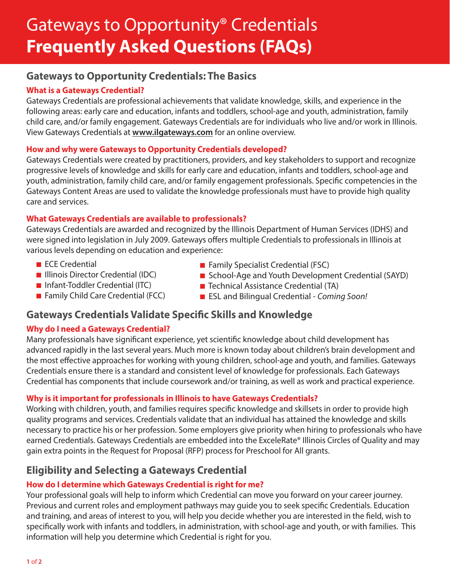# Gateways to Opportunity® Credentials **Frequently Asked Questions (FAQs)**

# **Gateways to Opportunity Credentials: The Basics**

## **What is a Gateways Credential?**

Gateways Credentials are professional achievements that validate knowledge, skills, and experience in the following areas: early care and education, infants and toddlers, school-age and youth, administration, family child care, and/or family engagement. Gateways Credentials are for individuals who live and/or work in Illinois. View Gateways Credentials at **[www.ilgateways.com](http://www.ilgateways.com)** for an online overview.

### **How and why were Gateways to Opportunity Credentials developed?**

Gateways Credentials were created by practitioners, providers, and key stakeholders to support and recognize progressive levels of knowledge and skills for early care and education, infants and toddlers, school-age and youth, administration, family child care, and/or family engagement professionals. Specific competencies in the Gateways Content Areas are used to validate the knowledge professionals must have to provide high quality care and services.

#### **What Gateways Credentials are available to professionals?**

Gateways Credentials are awarded and recognized by the Illinois Department of Human Services (IDHS) and were signed into legislation in July 2009. Gateways offers multiple Credentials to professionals in Illinois at various levels depending on education and experience:

- ECE Credential
- **[Illinois Director Credential](http://www.ilgateways.com/en/illinois-director-credential-idc) (IDC)**
- [Infant-Toddler Credential](http://www.ilgateways.com/en/infant-toddler-credential) (ITC)
- **Family Child Care Credential (FCC)**
- $\blacksquare$  Family Specialist Credential (FSC)
- [School-Age and Youth Development Credential](http://www.ilgateways.com/en/school-age-and-youth-development-credential) (SAYD)
- Technical Assistance Credential (TA)
- ESL and Bilingual Credential *Coming Soon!*

## **Gateways Credentials Validate Specific Skills and Knowledge**

#### **Why do I need a Gateways Credential?**

Many professionals have significant experience, yet scientific knowledge about child development has advanced rapidly in the last several years. Much more is known today about children's brain development and the most effective approaches for working with young children, school-age and youth, and families. Gateways Credentials ensure there is a standard and consistent level of knowledge for professionals. Each Gateways Credential has components that include coursework and/or training, as well as work and practical experience.

## **Why is it important for professionals in Illinois to have Gateways Credentials?**

Working with children, youth, and families requires specific knowledge and skillsets in order to provide high quality programs and services. Credentials validate that an individual has attained the knowledge and skills necessary to practice his or her profession. Some employers give priority when hiring to professionals who have earned Credentials. Gateways Credentials are embedded into the ExceleRate® Illinois Circles of Quality and may gain extra points in the Request for Proposal (RFP) process for Preschool for All grants.

# **Eligibility and Selecting a Gateways Credential**

## **How do I determine which Gateways Credential is right for me?**

Your professional goals will help to inform which Credential can move you forward on your career journey. Previous and current roles and employment pathways may guide you to seek specific Credentials. Education and training, and areas of interest to you, will help you decide whether you are interested in the field, wish to specifically work with infants and toddlers, in administration, with school-age and youth, or with families. This information will help you determine which Credential is right for you.